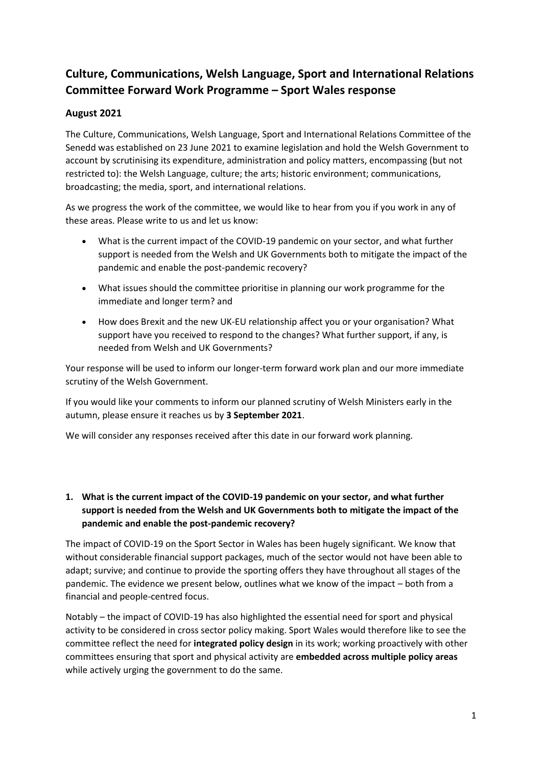# **Culture, Communications, Welsh Language, Sport and International Relations Committee Forward Work Programme – Sport Wales response**

# **August 2021**

The Culture, Communications, Welsh Language, Sport and International Relations Committee of the Senedd was established on 23 June 2021 to examine legislation and hold the Welsh Government to account by scrutinising its expenditure, administration and policy matters, encompassing (but not restricted to): the Welsh Language, culture; the arts; historic environment; communications, broadcasting; the media, sport, and international relations.

As we progress the work of the committee, we would like to hear from you if you work in any of these areas. Please write to us and let us know:

- What is the current impact of the COVID-19 pandemic on your sector, and what further support is needed from the Welsh and UK Governments both to mitigate the impact of the pandemic and enable the post-pandemic recovery?
- What issues should the committee prioritise in planning our work programme for the immediate and longer term? and
- How does Brexit and the new UK-EU relationship affect you or your organisation? What support have you received to respond to the changes? What further support, if any, is needed from Welsh and UK Governments?

Your response will be used to inform our longer-term forward work plan and our more immediate scrutiny of the Welsh Government.

If you would like your comments to inform our planned scrutiny of Welsh Ministers early in the autumn, please ensure it reaches us by **3 September 2021**.

We will consider any responses received after this date in our forward work planning.

# **1. What is the current impact of the COVID-19 pandemic on your sector, and what further support is needed from the Welsh and UK Governments both to mitigate the impact of the pandemic and enable the post-pandemic recovery?**

The impact of COVID-19 on the Sport Sector in Wales has been hugely significant. We know that without considerable financial support packages, much of the sector would not have been able to adapt; survive; and continue to provide the sporting offers they have throughout all stages of the pandemic. The evidence we present below, outlines what we know of the impact – both from a financial and people-centred focus.

Notably – the impact of COVID-19 has also highlighted the essential need for sport and physical activity to be considered in cross sector policy making. Sport Wales would therefore like to see the committee reflect the need for **integrated policy design** in its work; working proactively with other committees ensuring that sport and physical activity are **embedded across multiple policy areas** while actively urging the government to do the same.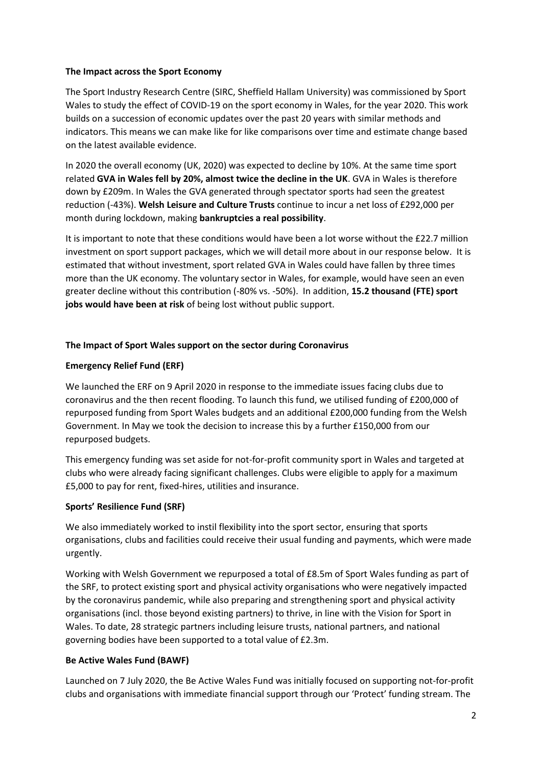### **The Impact across the Sport Economy**

The Sport Industry Research Centre (SIRC, Sheffield Hallam University) was commissioned by Sport Wales to study the effect of COVID-19 on the sport economy in Wales, for the year 2020. This work builds on a succession of economic updates over the past 20 years with similar methods and indicators. This means we can make like for like comparisons over time and estimate change based on the latest available evidence.

In 2020 the overall economy (UK, 2020) was expected to decline by 10%. At the same time sport related **GVA in Wales fell by 20%, almost twice the decline in the UK**. GVA in Wales is therefore down by £209m. In Wales the GVA generated through spectator sports had seen the greatest reduction (-43%). **Welsh Leisure and Culture Trusts** continue to incur a net loss of £292,000 per month during lockdown, making **bankruptcies a real possibility**.

It is important to note that these conditions would have been a lot worse without the £22.7 million investment on sport support packages, which we will detail more about in our response below. It is estimated that without investment, sport related GVA in Wales could have fallen by three times more than the UK economy. The voluntary sector in Wales, for example, would have seen an even greater decline without this contribution (-80% vs. -50%). In addition, **15.2 thousand (FTE) sport jobs would have been at risk** of being lost without public support.

# **The Impact of Sport Wales support on the sector during Coronavirus**

# **Emergency Relief Fund (ERF)**

We launched the ERF on 9 April 2020 in response to the immediate issues facing clubs due to coronavirus and the then recent flooding. To launch this fund, we utilised funding of £200,000 of repurposed funding from Sport Wales budgets and an additional £200,000 funding from the Welsh Government. In May we took the decision to increase this by a further £150,000 from our repurposed budgets.

This emergency funding was set aside for not-for-profit community sport in Wales and targeted at clubs who were already facing significant challenges. Clubs were eligible to apply for a maximum £5,000 to pay for rent, fixed-hires, utilities and insurance.

# **Sports' Resilience Fund (SRF)**

We also immediately worked to instil flexibility into the sport sector, ensuring that sports organisations, clubs and facilities could receive their usual funding and payments, which were made urgently.

Working with Welsh Government we repurposed a total of £8.5m of Sport Wales funding as part of the SRF, to protect existing sport and physical activity organisations who were negatively impacted by the coronavirus pandemic, while also preparing and strengthening sport and physical activity organisations (incl. those beyond existing partners) to thrive, in line with the Vision for Sport in Wales. To date, 28 strategic partners including leisure trusts, national partners, and national governing bodies have been supported to a total value of £2.3m.

# **Be Active Wales Fund (BAWF)**

Launched on 7 July 2020, the Be Active Wales Fund was initially focused on supporting not-for-profit clubs and organisations with immediate financial support through our 'Protect' funding stream. The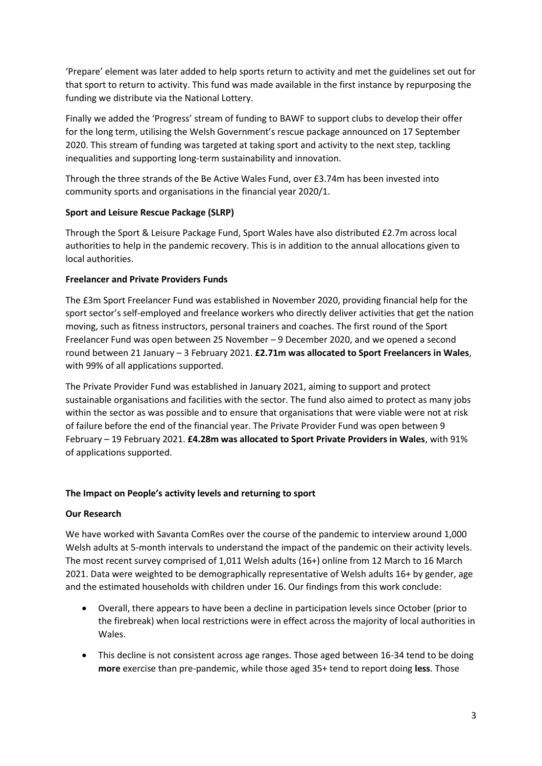'Prepare' element was later added to help sports return to activity and met the guidelines set out for that sport to return to activity. This fund was made available in the first instance by repurposing the funding we distribute via the National Lottery.

Finally we added the 'Progress' stream of funding to BAWF to support clubs to develop their offer for the long term, utilising the Welsh Government's rescue package announced on 17 September 2020. This stream of funding was targeted at taking sport and activity to the next step, tackling inequalities and supporting long-term sustainability and innovation.

Through the three strands of the Be Active Wales Fund, over £3.74m has been invested into community sports and organisations in the financial year 2020/1.

### **Sport and Leisure Rescue Package (SLRP)**

Through the Sport & Leisure Package Fund, Sport Wales have also distributed £2.7m across local authorities to help in the pandemic recovery. This is in addition to the annual allocations given to local authorities.

### **Freelancer and Private Providers Funds**

The £3m Sport Freelancer Fund was established in November 2020, providing financial help for the sport sector's self-employed and freelance workers who directly deliver activities that get the nation moving, such as fitness instructors, personal trainers and coaches. The first round of the Sport Freelancer Fund was open between 25 November – 9 December 2020, and we opened a second round between 21 January – 3 February 2021. **£2.71m was allocated to Sport Freelancers in Wales**, with 99% of all applications supported.

The Private Provider Fund was established in January 2021, aiming to support and protect sustainable organisations and facilities with the sector. The fund also aimed to protect as many jobs within the sector as was possible and to ensure that organisations that were viable were not at risk of failure before the end of the financial year. The Private Provider Fund was open between 9 February – 19 February 2021. **£4.28m was allocated to Sport Private Providers in Wales**, with 91% of applications supported.

# **The Impact on People's activity levels and returning to sport**

#### **Our Research**

We have worked with Savanta ComRes over the course of the pandemic to interview around 1,000 Welsh adults at 5-month intervals to understand the impact of the pandemic on their activity levels. The most recent survey comprised of 1,011 Welsh adults (16+) online from 12 March to 16 March 2021. Data were weighted to be demographically representative of Welsh adults 16+ by gender, age and the estimated households with children under 16. Our findings from this work conclude:

- Overall, there appears to have been a decline in participation levels since October (prior to the firebreak) when local restrictions were in effect across the majority of local authorities in Wales.
- This decline is not consistent across age ranges. Those aged between 16-34 tend to be doing **more** exercise than pre-pandemic, while those aged 35+ tend to report doing **less**. Those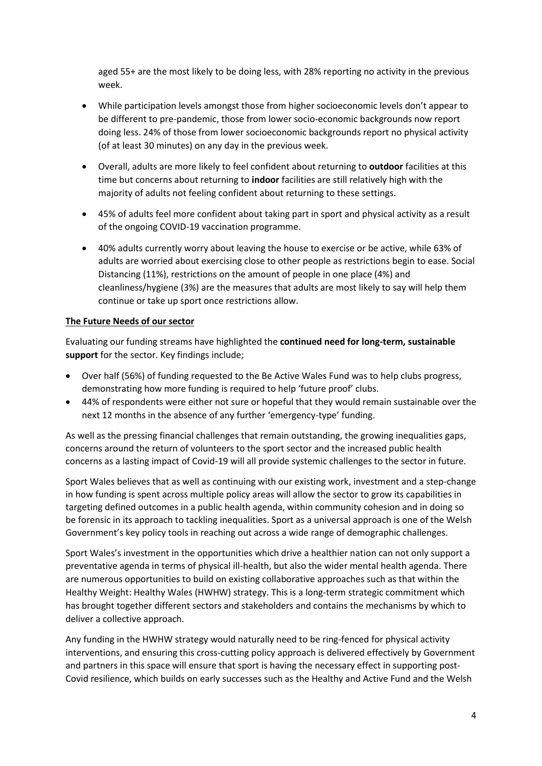aged 55+ are the most likely to be doing less, with 28% reporting no activity in the previous week.

- While participation levels amongst those from higher socioeconomic levels don't appear to be different to pre-pandemic, those from lower socio-economic backgrounds now report doing less. 24% of those from lower socioeconomic backgrounds report no physical activity (of at least 30 minutes) on any day in the previous week.
- Overall, adults are more likely to feel confident about returning to **outdoor** facilities at this time but concerns about returning to **indoor** facilities are still relatively high with the majority of adults not feeling confident about returning to these settings.
- 45% of adults feel more confident about taking part in sport and physical activity as a result of the ongoing COVID-19 vaccination programme.
- 40% adults currently worry about leaving the house to exercise or be active, while 63% of adults are worried about exercising close to other people as restrictions begin to ease. Social Distancing (11%), restrictions on the amount of people in one place (4%) and cleanliness/hygiene (3%) are the measures that adults are most likely to say will help them continue or take up sport once restrictions allow.

### **The Future Needs of our sector**

Evaluating our funding streams have highlighted the **continued need for long-term, sustainable support** for the sector. Key findings include;

- Over half (56%) of funding requested to the Be Active Wales Fund was to help clubs progress, demonstrating how more funding is required to help 'future proof' clubs.
- 44% of respondents were either not sure or hopeful that they would remain sustainable over the next 12 months in the absence of any further 'emergency-type' funding.

As well as the pressing financial challenges that remain outstanding, the growing inequalities gaps, concerns around the return of volunteers to the sport sector and the increased public health concerns as a lasting impact of Covid-19 will all provide systemic challenges to the sector in future.

Sport Wales believes that as well as continuing with our existing work, investment and a step-change in how funding is spent across multiple policy areas will allow the sector to grow its capabilities in targeting defined outcomes in a public health agenda, within community cohesion and in doing so be forensic in its approach to tackling inequalities. Sport as a universal approach is one of the Welsh Government's key policy tools in reaching out across a wide range of demographic challenges.

Sport Wales's investment in the opportunities which drive a healthier nation can not only support a preventative agenda in terms of physical ill-health, but also the wider mental health agenda. There are numerous opportunities to build on existing collaborative approaches such as that within the Healthy Weight: Healthy Wales (HWHW) strategy. This is a long-term strategic commitment which has brought together different sectors and stakeholders and contains the mechanisms by which to deliver a collective approach.

Any funding in the HWHW strategy would naturally need to be ring-fenced for physical activity interventions, and ensuring this cross-cutting policy approach is delivered effectively by Government and partners in this space will ensure that sport is having the necessary effect in supporting post-Covid resilience, which builds on early successes such as the Healthy and Active Fund and the Welsh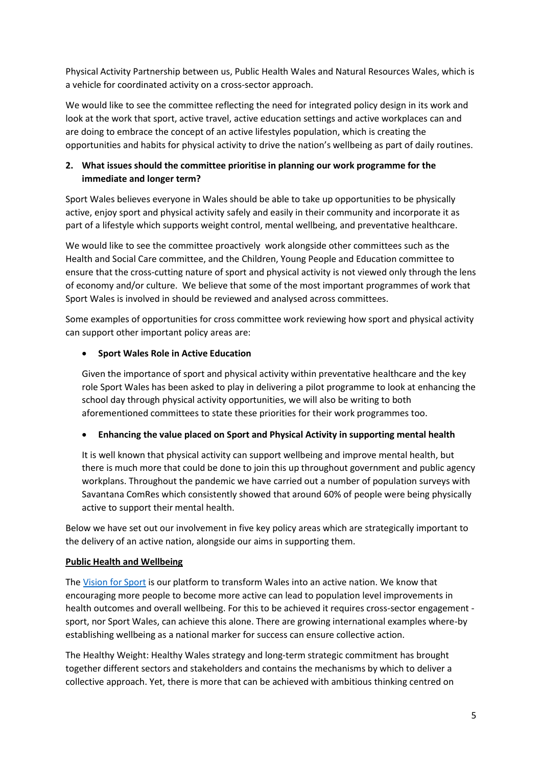Physical Activity Partnership between us, Public Health Wales and Natural Resources Wales, which is a vehicle for coordinated activity on a cross-sector approach.

We would like to see the committee reflecting the need for integrated policy design in its work and look at the work that sport, active travel, active education settings and active workplaces can and are doing to embrace the concept of an active lifestyles population, which is creating the opportunities and habits for physical activity to drive the nation's wellbeing as part of daily routines.

# **2. What issues should the committee prioritise in planning our work programme for the immediate and longer term?**

Sport Wales believes everyone in Wales should be able to take up opportunities to be physically active, enjoy sport and physical activity safely and easily in their community and incorporate it as part of a lifestyle which supports weight control, mental wellbeing, and preventative healthcare.

We would like to see the committee proactively work alongside other committees such as the Health and Social Care committee, and the Children, Young People and Education committee to ensure that the cross-cutting nature of sport and physical activity is not viewed only through the lens of economy and/or culture. We believe that some of the most important programmes of work that Sport Wales is involved in should be reviewed and analysed across committees.

Some examples of opportunities for cross committee work reviewing how sport and physical activity can support other important policy areas are:

# • **Sport Wales Role in Active Education**

Given the importance of sport and physical activity within preventative healthcare and the key role Sport Wales has been asked to play in delivering a pilot programme to look at enhancing the school day through physical activity opportunities, we will also be writing to both aforementioned committees to state these priorities for their work programmes too.

# • **Enhancing the value placed on Sport and Physical Activity in supporting mental health**

It is well known that physical activity can support wellbeing and improve mental health, but there is much more that could be done to join this up throughout government and public agency workplans. Throughout the pandemic we have carried out a number of population surveys with Savantana ComRes which consistently showed that around 60% of people were being physically active to support their mental health.

Below we have set out our involvement in five key policy areas which are strategically important to the delivery of an active nation, alongside our aims in supporting them.

# **Public Health and Wellbeing**

The [Vision for Sport](https://visionforsport.wales/) is our platform to transform Wales into an active nation. We know that encouraging more people to become more active can lead to population level improvements in health outcomes and overall wellbeing. For this to be achieved it requires cross-sector engagement sport, nor Sport Wales, can achieve this alone. There are growing international examples where-by establishing wellbeing as a national marker for success can ensure collective action.

The Healthy Weight: Healthy Wales strategy and long-term strategic commitment has brought together different sectors and stakeholders and contains the mechanisms by which to deliver a collective approach. Yet, there is more that can be achieved with ambitious thinking centred on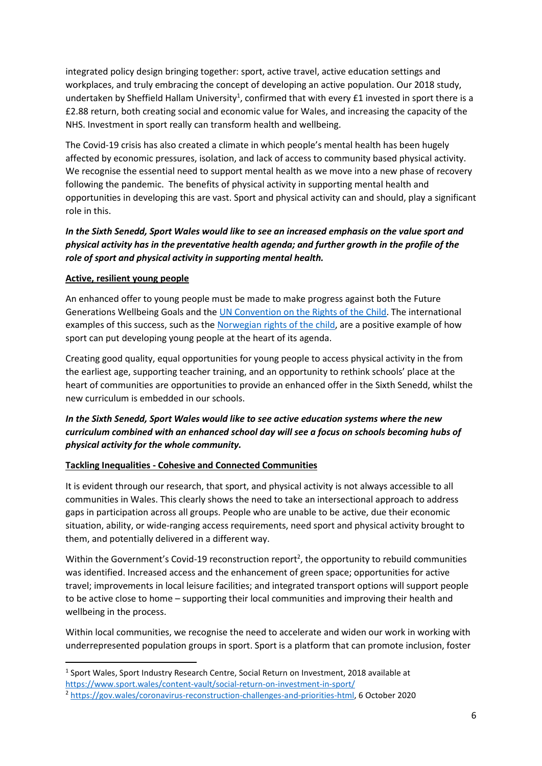integrated policy design bringing together: sport, active travel, active education settings and workplaces, and truly embracing the concept of developing an active population. Our 2018 study, undertaken by Sheffield Hallam University<sup>1</sup>, confirmed that with every £1 invested in sport there is a £2.88 return, both creating social and economic value for Wales, and increasing the capacity of the NHS. Investment in sport really can transform health and wellbeing.

The Covid-19 crisis has also created a climate in which people's mental health has been hugely affected by economic pressures, isolation, and lack of access to community based physical activity. We recognise the essential need to support mental health as we move into a new phase of recovery following the pandemic. The benefits of physical activity in supporting mental health and opportunities in developing this are vast. Sport and physical activity can and should, play a significant role in this.

# *In the Sixth Senedd, Sport Wales would like to see an increased emphasis on the value sport and physical activity has in the preventative health agenda; and further growth in the profile of the role of sport and physical activity in supporting mental health.*

### **Active, resilient young people**

An enhanced offer to young people must be made to make progress against both the Future Generations Wellbeing Goals and the [UN Convention on the Rights of the Child.](https://downloads.unicef.org.uk/wp-content/uploads/2019/10/UNCRC_summary-1_1.pdf?_adal_sd=www.unicef.org.uk.1601970931098&_adal_ca=so%3Dwww.ecosia.org%26me%3Dreferral%26ca%3Dreferral%26co%3Dhttps%253A%252F%252Fwww.ecosia.org%252F%26ke%3D(not%2520set).1601970931098&_adal_cw=1601970898397.1601970931098&_adal_id=8f63c3c6-00df-49e6-8809-53615f821ef5.1601970898.2.1601970929.1601970898.990252bc-2b03-40a5-9be1-385bdeb3ebaf.1601970931098&_ga=2.133369038.1905248250.1601970897-1653442165.1601970897) The international examples of this success, such as th[e Norwegian rights of the child,](https://www.idrettsforbundet.no/contentassets/482e66e842fa4979902ecc77f0c05263/36_17_barneidrettsbestemmelsene_eng.pdf) are a positive example of how sport can put developing young people at the heart of its agenda.

Creating good quality, equal opportunities for young people to access physical activity in the from the earliest age, supporting teacher training, and an opportunity to rethink schools' place at the heart of communities are opportunities to provide an enhanced offer in the Sixth Senedd, whilst the new curriculum is embedded in our schools.

# *In the Sixth Senedd, Sport Wales would like to see active education systems where the new curriculum combined with an enhanced school day will see a focus on schools becoming hubs of physical activity for the whole community.*

# **Tackling Inequalities - Cohesive and Connected Communities**

It is evident through our research, that sport, and physical activity is not always accessible to all communities in Wales. This clearly shows the need to take an intersectional approach to address gaps in participation across all groups. People who are unable to be active, due their economic situation, ability, or wide-ranging access requirements, need sport and physical activity brought to them, and potentially delivered in a different way.

Within the Government's Covid-19 reconstruction report<sup>2</sup>, the opportunity to rebuild communities was identified. Increased access and the enhancement of green space; opportunities for active travel; improvements in local leisure facilities; and integrated transport options will support people to be active close to home – supporting their local communities and improving their health and wellbeing in the process.

Within local communities, we recognise the need to accelerate and widen our work in working with underrepresented population groups in sport. Sport is a platform that can promote inclusion, foster

<sup>&</sup>lt;sup>1</sup> Sport Wales, Sport Industry Research Centre, Social Return on Investment, 2018 available at <https://www.sport.wales/content-vault/social-return-on-investment-in-sport/>

<sup>2</sup> [https://gov.wales/coronavirus-reconstruction-challenges-and-priorities-html,](https://gov.wales/coronavirus-reconstruction-challenges-and-priorities-html) 6 October 2020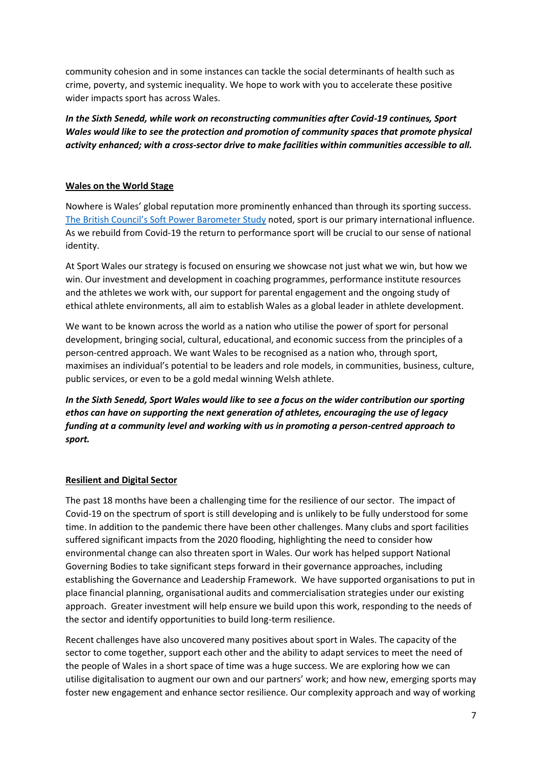community cohesion and in some instances can tackle the social determinants of health such as crime, poverty, and systemic inequality. We hope to work with you to accelerate these positive wider impacts sport has across Wales.

*In the Sixth Senedd, while work on reconstructing communities after Covid-19 continues, Sport Wales would like to see the protection and promotion of community spaces that promote physical activity enhanced; with a cross-sector drive to make facilities within communities accessible to all.* 

### **Wales on the World Stage**

Nowhere is Wales' global reputation more prominently enhanced than through its sporting success. [The British Council's Soft Power Barometer Study](https://wales.britishcouncil.org/sites/default/files/wales_soft_power_barometer_2018_0.pdf) noted, sport is our primary international influence. As we rebuild from Covid-19 the return to performance sport will be crucial to our sense of national identity.

At Sport Wales our strategy is focused on ensuring we showcase not just what we win, but how we win. Our investment and development in coaching programmes, performance institute resources and the athletes we work with, our support for parental engagement and the ongoing study of ethical athlete environments, all aim to establish Wales as a global leader in athlete development.

We want to be known across the world as a nation who utilise the power of sport for personal development, bringing social, cultural, educational, and economic success from the principles of a person-centred approach. We want Wales to be recognised as a nation who, through sport, maximises an individual's potential to be leaders and role models, in communities, business, culture, public services, or even to be a gold medal winning Welsh athlete.

*In the Sixth Senedd, Sport Wales would like to see a focus on the wider contribution our sporting ethos can have on supporting the next generation of athletes, encouraging the use of legacy funding at a community level and working with us in promoting a person-centred approach to sport.*

#### **Resilient and Digital Sector**

The past 18 months have been a challenging time for the resilience of our sector. The impact of Covid-19 on the spectrum of sport is still developing and is unlikely to be fully understood for some time. In addition to the pandemic there have been other challenges. Many clubs and sport facilities suffered significant impacts from the 2020 flooding, highlighting the need to consider how environmental change can also threaten sport in Wales. Our work has helped support National Governing Bodies to take significant steps forward in their governance approaches, including establishing the Governance and Leadership Framework. We have supported organisations to put in place financial planning, organisational audits and commercialisation strategies under our existing approach. Greater investment will help ensure we build upon this work, responding to the needs of the sector and identify opportunities to build long-term resilience.

Recent challenges have also uncovered many positives about sport in Wales. The capacity of the sector to come together, support each other and the ability to adapt services to meet the need of the people of Wales in a short space of time was a huge success. We are exploring how we can utilise digitalisation to augment our own and our partners' work; and how new, emerging sports may foster new engagement and enhance sector resilience. Our complexity approach and way of working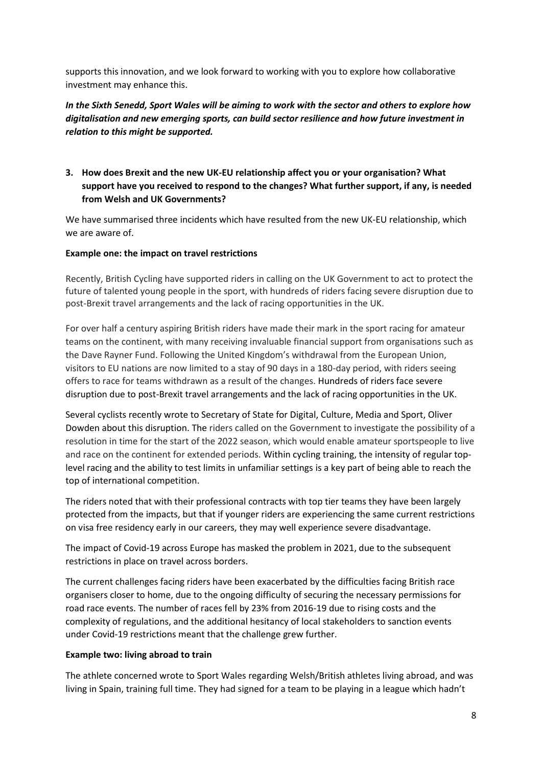supports this innovation, and we look forward to working with you to explore how collaborative investment may enhance this.

*In the Sixth Senedd, Sport Wales will be aiming to work with the sector and others to explore how digitalisation and new emerging sports, can build sector resilience and how future investment in relation to this might be supported.* 

# **3. How does Brexit and the new UK-EU relationship affect you or your organisation? What support have you received to respond to the changes? What further support, if any, is needed from Welsh and UK Governments?**

We have summarised three incidents which have resulted from the new UK-EU relationship, which we are aware of.

#### **Example one: the impact on travel restrictions**

Recently, British Cycling have supported riders in calling on the UK Government to act to protect the future of talented young people in the sport, with hundreds of riders facing severe disruption due to post-Brexit travel arrangements and the lack of racing opportunities in the UK.

For over half a century aspiring British riders have made their mark in the sport racing for amateur teams on the continent, with many receiving invaluable financial support from organisations such as the Dave Rayner Fund. Following the United Kingdom's withdrawal from the European Union, visitors to EU nations are now limited to a stay of 90 days in a 180-day period, with riders seeing offers to race for teams withdrawn as a result of the changes. Hundreds of riders face severe disruption due to post-Brexit travel arrangements and the lack of racing opportunities in the UK.

Several cyclists recently wrote to Secretary of State for Digital, Culture, Media and Sport, Oliver Dowden about this disruption. The riders called on the Government to investigate the possibility of a resolution in time for the start of the 2022 season, which would enable amateur sportspeople to live and race on the continent for extended periods. Within cycling training, the intensity of regular toplevel racing and the ability to test limits in unfamiliar settings is a key part of being able to reach the top of international competition.

The riders noted that with their professional contracts with top tier teams they have been largely protected from the impacts, but that if younger riders are experiencing the same current restrictions on visa free residency early in our careers, they may well experience severe disadvantage.

The impact of Covid-19 across Europe has masked the problem in 2021, due to the subsequent restrictions in place on travel across borders.

The current challenges facing riders have been exacerbated by the difficulties facing British race organisers closer to home, due to the ongoing difficulty of securing the necessary permissions for road race events. The number of races fell by 23% from 2016-19 due to rising costs and the complexity of regulations, and the additional hesitancy of local stakeholders to sanction events under Covid-19 restrictions meant that the challenge grew further.

#### **Example two: living abroad to train**

The athlete concerned wrote to Sport Wales regarding Welsh/British athletes living abroad, and was living in Spain, training full time. They had signed for a team to be playing in a league which hadn't